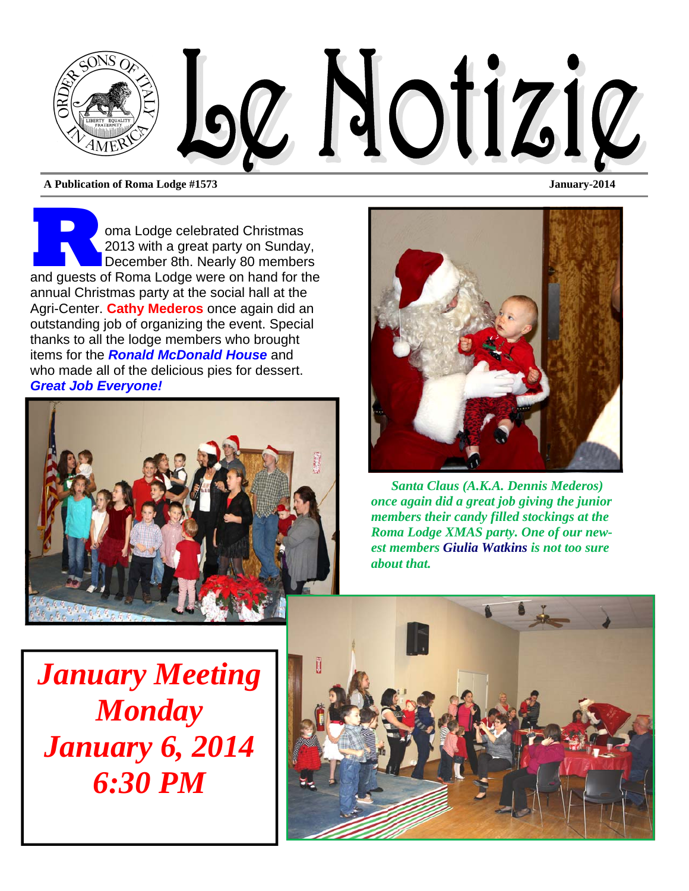

**A Publication of Roma Lodge #1573 January-2014** 

**R B B And American Christmas**<br>
and guests of Roma Lodge were on hand for the<br> **Alternative School School** School School School School School School School School School School School School School School School School Sch 2013 with a great party on Sunday, December 8th. Nearly 80 members annual Christmas party at the social hall at the Agri-Center. **Cathy Mederos** once again did an outstanding job of organizing the event. Special thanks to all the lodge members who brought items for the *Ronald McDonald House* and who made all of the delicious pies for dessert. *Great Job Everyone!* 





*Santa Claus (A.K.A. Dennis Mederos) once again did a great job giving the junior members their candy filled stockings at the Roma Lodge XMAS party. One of our newest members Giulia Watkins is not too sure about that.* 

*January Meeting Monday January 6, 2014 6:30 PM* 

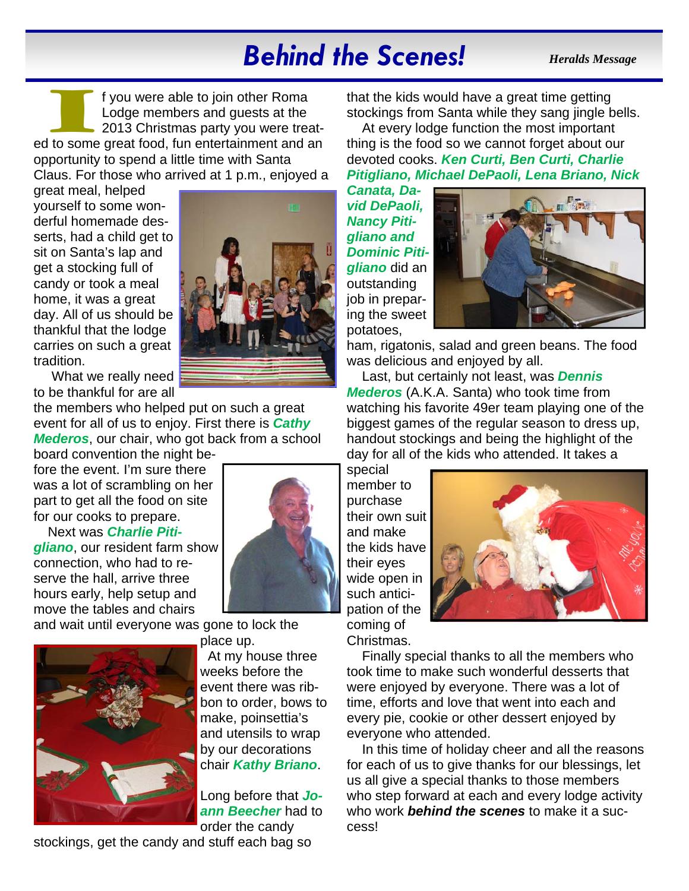# *Behind the Scenes!*

*Heralds Message* 

I f you were able to join other Roma<br>
Lodge members and guests at the<br>
2013 Christmas party you were treat-<br>
ed to some great food, fun entertainment and an Lodge members and guests at the 2013 Christmas party you were treatopportunity to spend a little time with Santa Claus. For those who arrived at 1 p.m., enjoyed a

great meal, helped yourself to some wonderful homemade desserts, had a child get to sit on Santa's lap and get a stocking full of candy or took a meal home, it was a great day. All of us should be thankful that the lodge carries on such a great tradition.



the members who helped put on such a great event for all of us to enjoy. First there is *Cathy Mederos*, our chair, who got back from a school board convention the night be-

fore the event. I'm sure there was a lot of scrambling on her part to get all the food on site for our cooks to prepare.

Next was *Charlie Pitigliano*, our resident farm show connection, who had to reserve the hall, arrive three hours early, help setup and move the tables and chairs

and wait until everyone was gone to lock the



place up. At my house three weeks before the event there was ribbon to order, bows to make, poinsettia's and utensils to wrap by our decorations chair *Kathy Briano*.

Long before that *Joann Beecher* had to order the candy

stockings, get the candy and stuff each bag so



that the kids would have a great time getting stockings from Santa while they sang jingle bells.

At every lodge function the most important thing is the food so we cannot forget about our devoted cooks. *Ken Curti, Ben Curti, Charlie Pitigliano, Michael DePaoli, Lena Briano, Nick* 

*Canata, David DePaoli, Nancy Pitigliano and Dominic Pitigliano* did an outstanding job in preparing the sweet potatoes,



ham, rigatonis, salad and green beans. The food was delicious and enjoyed by all.

Last, but certainly not least, was *Dennis Mederos* (A.K.A. Santa) who took time from watching his favorite 49er team playing one of the biggest games of the regular season to dress up, handout stockings and being the highlight of the day for all of the kids who attended. It takes a

special member to purchase their own suit and make the kids have their eyes wide open in such anticipation of the coming of Christmas.



Finally special thanks to all the members who took time to make such wonderful desserts that were enjoyed by everyone. There was a lot of time, efforts and love that went into each and every pie, cookie or other dessert enjoyed by everyone who attended.

In this time of holiday cheer and all the reasons for each of us to give thanks for our blessings, let us all give a special thanks to those members who step forward at each and every lodge activity who work *behind the scenes* to make it a success!

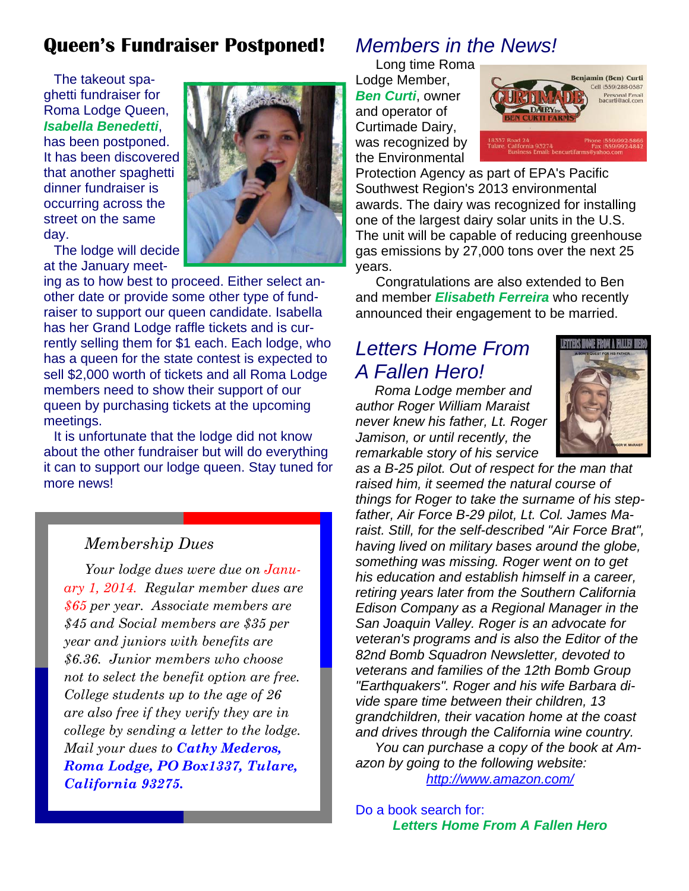## **Queen's Fundraiser Postponed!**

The takeout spaghetti fundraiser for Roma Lodge Queen, *Isabella Benedetti*, has been postponed. It has been discovered that another spaghetti dinner fundraiser is occurring across the street on the same day.

The lodge will decide at the January meet-



ing as to how best to proceed. Either select another date or provide some other type of fundraiser to support our queen candidate. Isabella has her Grand Lodge raffle tickets and is currently selling them for \$1 each. Each lodge, who has a queen for the state contest is expected to sell \$2,000 worth of tickets and all Roma Lodge members need to show their support of our queen by purchasing tickets at the upcoming meetings.

It is unfortunate that the lodge did not know about the other fundraiser but will do everything it can to support our lodge queen. Stay tuned for more news!

#### *Membership Dues*

*Your lodge dues were due on January 1, 2014. Regular member dues are \$65 per year. Associate members are \$45 and Social members are \$35 per year and juniors with benefits are \$6.36. Junior members who choose not to select the benefit option are free. College students up to the age of 26 are also free if they verify they are in college by sending a letter to the lodge. Mail your dues to Cathy Mederos, Roma Lodge, PO Box1337, Tulare, California 93275.* 

### *Members in the News!*

Long time Roma Lodge Member, *Ben Curti*, owner and operator of Curtimade Dairy, was recognized by the Environmental



Protection Agency as part of EPA's Pacific Southwest Region's 2013 environmental awards. The dairy was recognized for installing one of the largest dairy solar units in the U.S. The unit will be capable of reducing greenhouse gas emissions by 27,000 tons over the next 25 years.

Congratulations are also extended to Ben and member *Elisabeth Ferreira* who recently announced their engagement to be married.

# *Letters Home From A Fallen Hero!*

*Roma Lodge member and author Roger William Maraist never knew his father, Lt. Roger Jamison, or until recently, the remarkable story of his service* 



*as a B-25 pilot. Out of respect for the man that raised him, it seemed the natural course of things for Roger to take the surname of his stepfather, Air Force B-29 pilot, Lt. Col. James Maraist. Still, for the self-described "Air Force Brat", having lived on military bases around the globe, something was missing. Roger went on to get his education and establish himself in a career, retiring years later from the Southern California Edison Company as a Regional Manager in the San Joaquin Valley. Roger is an advocate for veteran's programs and is also the Editor of the 82nd Bomb Squadron Newsletter, devoted to veterans and families of the 12th Bomb Group "Earthquakers". Roger and his wife Barbara divide spare time between their children, 13 grandchildren, their vacation home at the coast and drives through the California wine country. You can purchase a copy of the book at Amazon by going to the following website: http://www.amazon.com/* 

Do a book search for:

*Letters Home From A Fallen Hero*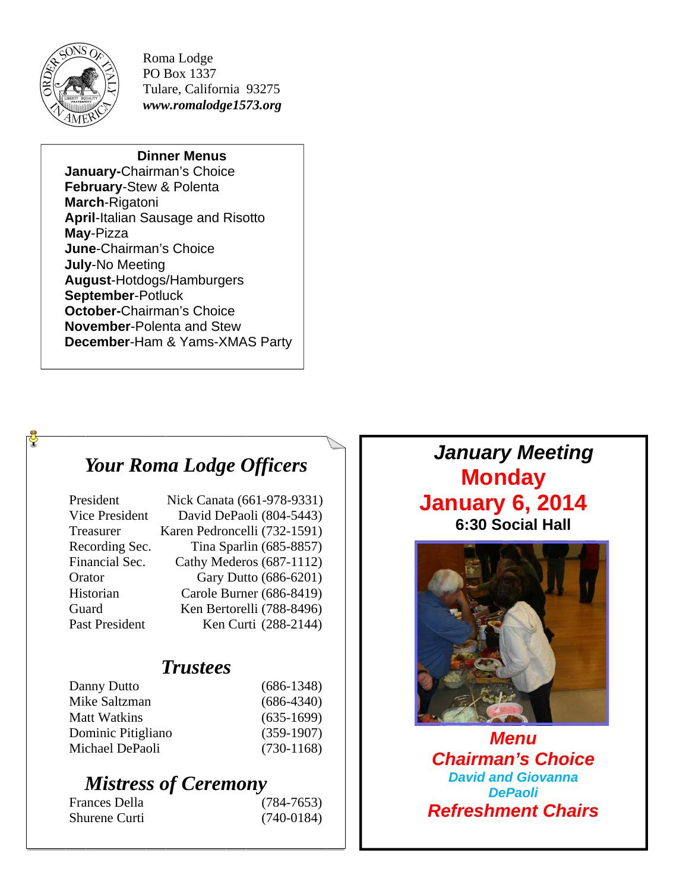

Roma Lodge PO Box 1337 Tulare, California 93275 *www.romalodge1573.org* 

#### **Dinner Menus**

**January-**Chairman's Choice **February**-Stew & Polenta **March**-Rigatoni **April**-Italian Sausage and Risotto **May**-Pizza **June**-Chairman's Choice **July**-No Meeting **August**-Hotdogs/Hamburgers **September**-Potluck **October-**Chairman's Choice **November**-Polenta and Stew **December**-Ham & Yams-XMAS Party

### *Your Roma Lodge Officers*

| President             | Nick Canata (661-978-9331)   |
|-----------------------|------------------------------|
| <b>Vice President</b> | David DePaoli (804-5443)     |
| Treasurer             | Karen Pedroncelli (732-1591) |
| Recording Sec.        | Tina Sparlin (685-8857)      |
| Financial Sec.        | Cathy Mederos (687-1112)     |
| Orator                | Gary Dutto (686-6201)        |
| Historian             | Carole Burner (686-8419)     |
| Guard                 | Ken Bertorelli (788-8496)    |
| Past President        | Ken Curti (288-2144)         |

### *Trustees*

| Danny Dutto        | $(686-1348)$ |
|--------------------|--------------|
| Mike Saltzman      | $(686-4340)$ |
| Matt Watkins       | $(635-1699)$ |
| Dominic Pitigliano | $(359-1907)$ |
| Michael DePaoli    | $(730-1168)$ |
|                    |              |

## *Mistress of Ceremony*

| Frances Della        | $(784 - 7653)$ |
|----------------------|----------------|
| <b>Shurene Curti</b> | $(740-0184)$   |

*January Meeting*  **Monday January 6, 2014 6:30 Social Hall** 



*Menu Chairman's Choice David and Giovanna DePaoli Refreshment Chairs*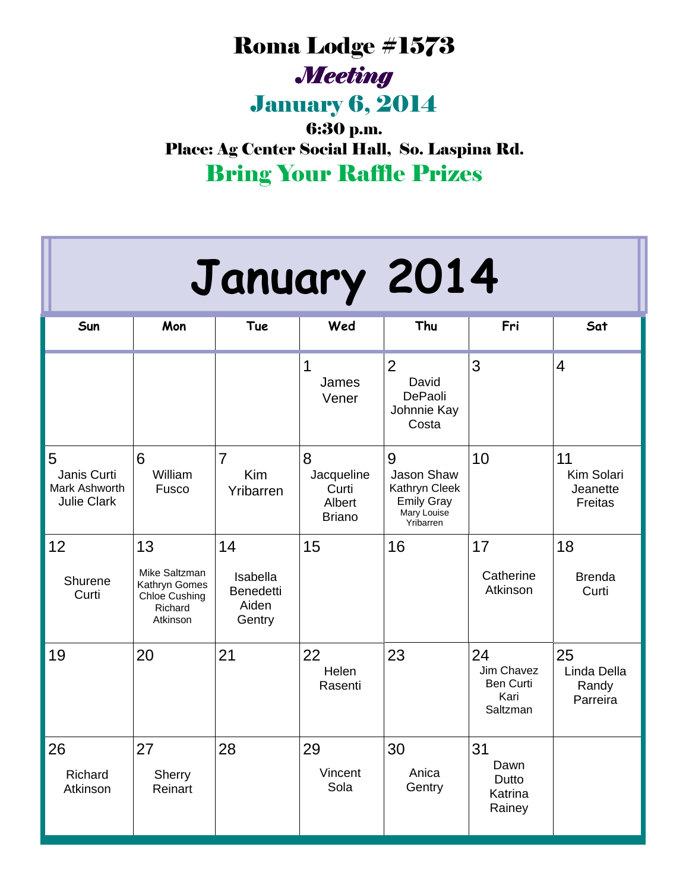# Roma Lodge #1573 *Meeting*

January 6, 2014

6:30 p.m. Place: Ag Center Social Hall, So. Laspina Rd. Bring Your Raffle Prizes

| January 2014                                            |                                                                              |                                                       |                                                     |                                                                                   |                                                          |                                         |  |  |
|---------------------------------------------------------|------------------------------------------------------------------------------|-------------------------------------------------------|-----------------------------------------------------|-----------------------------------------------------------------------------------|----------------------------------------------------------|-----------------------------------------|--|--|
| Sun                                                     | Mon                                                                          | Tue                                                   | Wed                                                 | Thu                                                                               | Fri                                                      | Sat                                     |  |  |
|                                                         |                                                                              |                                                       | 1<br>James<br>Vener                                 | $\overline{2}$<br>David<br>DePaoli<br>Johnnie Kay<br>Costa                        | 3                                                        | $\overline{4}$                          |  |  |
| 5<br>Janis Curti<br>Mark Ashworth<br><b>Julie Clark</b> | 6<br>William<br>Fusco                                                        | $\overline{7}$<br>Kim<br>Yribarren                    | 8<br>Jacqueline<br>Curti<br>Albert<br><b>Briano</b> | 9<br>Jason Shaw<br>Kathryn Cleek<br><b>Emily Gray</b><br>Mary Louise<br>Yribarren | 10                                                       | 11<br>Kim Solari<br>Jeanette<br>Freitas |  |  |
| 12<br>Shurene<br>Curti                                  | 13<br>Mike Saltzman<br>Kathryn Gomes<br>Chloe Cushing<br>Richard<br>Atkinson | 14<br>Isabella<br><b>Benedetti</b><br>Aiden<br>Gentry | 15                                                  | 16                                                                                | 17<br>Catherine<br>Atkinson                              | 18<br><b>Brenda</b><br>Curti            |  |  |
| 19                                                      | 20                                                                           | 21                                                    | 22<br>Helen<br>Rasenti                              | 23                                                                                | 24<br>Jim Chavez<br><b>Ben Curti</b><br>Kari<br>Saltzman | 25<br>Linda Della<br>Randy<br>Parreira  |  |  |
| 26<br>Richard<br>Atkinson                               | 27<br>Sherry<br>Reinart                                                      | 28                                                    | 29<br>Vincent<br>Sola                               | 30<br>Anica<br>Gentry                                                             | 31<br>Dawn<br>Dutto<br>Katrina<br>Rainey                 |                                         |  |  |